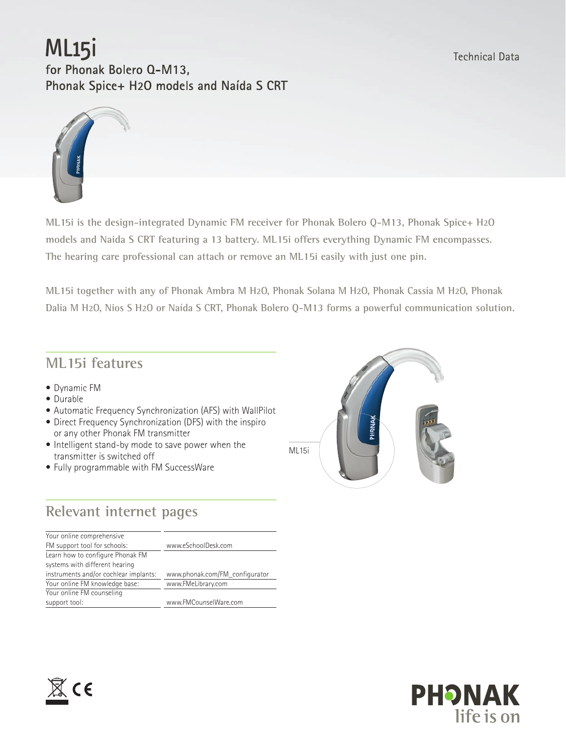# ML<sub>15</sub>i

for Phonak Bolero Q-M13, Phonak Spice+ H2O models and Naída S CRT



**ML15i is the design-integrated Dynamic FM receiver for Phonak Bolero Q-M13, Phonak Spice+ H2O models and Naida S CRT featuring a 13 battery. ML15i offers everything Dynamic FM encompasses. The hearing care professional can attach or remove an ML15i easily with just one pin.** 

**ML15i together with any of Phonak Ambra M H2O, Phonak Solana M H2O, Phonak Cassia M H2O, Phonak Dalia M H2O, Nios S H2O or Naída S CRT, Phonak Bolero Q-M13 forms a powerful communication solution.**

### **ML15i features**

- • Dynamic FM
- • Durable
- Automatic Frequency Synchronization (AFS) with WallPilot
- Direct Frequency Synchronization (DFS) with the inspiro or any other Phonak FM transmitter
- Intelligent stand-by mode to save power when the transmitter is switched off
- Fully programmable with FM SuccessWare

# **Relevant internet pages**

| Your online comprehensive             |                                |
|---------------------------------------|--------------------------------|
| FM support tool for schools:          | www.eSchoolDesk.com            |
| Learn how to configure Phonak FM      |                                |
| systems with different hearing        |                                |
| instruments and/or cochlear implants: | www.phonak.com/FM_configurator |
| Your online FM knowledge base:        | www.FMeLibrary.com             |
| Your online FM counseling             |                                |
| support tool:                         | www.FMCounselWare.com          |
|                                       |                                |